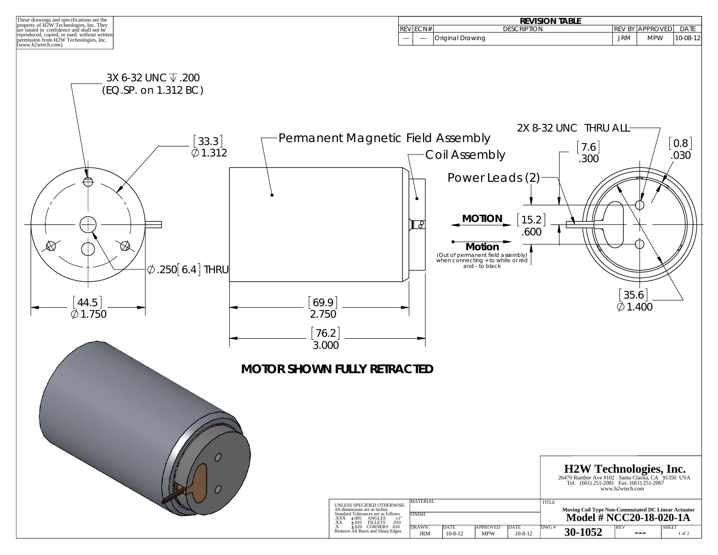